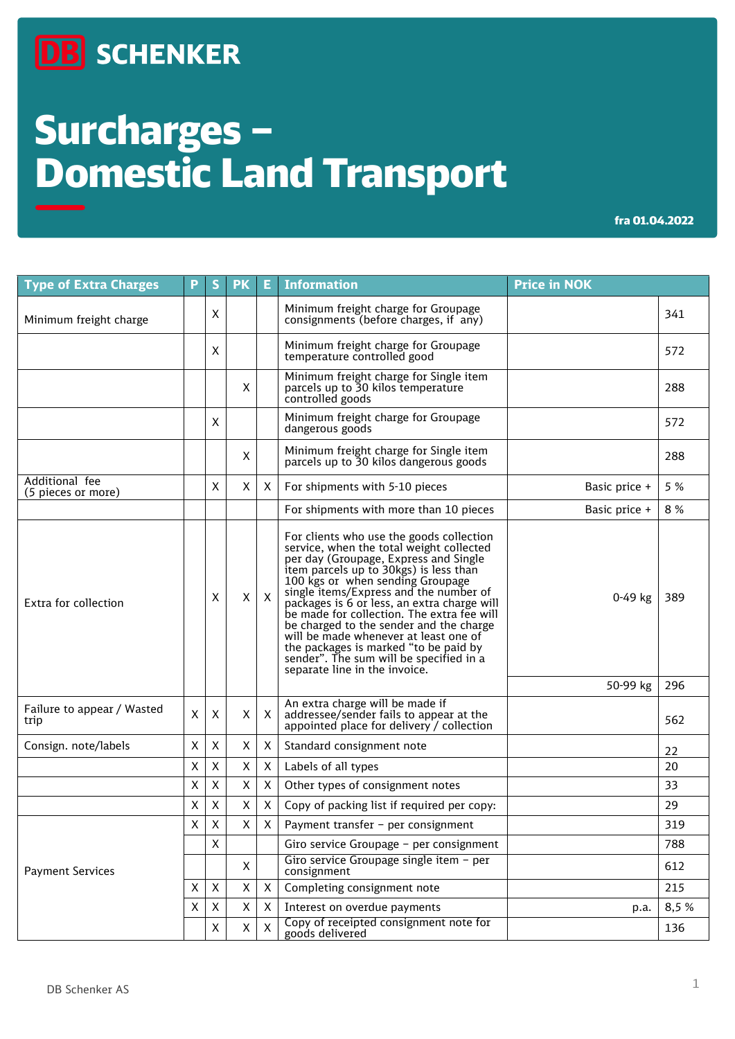## **DB** SCHENKER

# Surcharges – Domestic Land Transport

fra 01.04.2022

| <b>Type of Extra Charges</b>         | P | S           | <b>PK</b>          | Е.             | <b>Information</b>                                                                                                                                                                                                                                                                                                                                                                                                                                                                                                                                          | <b>Price in NOK</b> |       |
|--------------------------------------|---|-------------|--------------------|----------------|-------------------------------------------------------------------------------------------------------------------------------------------------------------------------------------------------------------------------------------------------------------------------------------------------------------------------------------------------------------------------------------------------------------------------------------------------------------------------------------------------------------------------------------------------------------|---------------------|-------|
| Minimum freight charge               |   | X           |                    |                | Minimum freight charge for Groupage<br>consignments (before charges, if any)                                                                                                                                                                                                                                                                                                                                                                                                                                                                                |                     | 341   |
|                                      |   | X           |                    |                | Minimum freight charge for Groupage<br>temperature controlled good                                                                                                                                                                                                                                                                                                                                                                                                                                                                                          |                     | 572   |
|                                      |   |             | X                  |                | Minimum freight charge for Single item<br>parcels up to 30 kilos temperature<br>controlled goods                                                                                                                                                                                                                                                                                                                                                                                                                                                            |                     | 288   |
|                                      |   | X           |                    |                | Minimum freight charge for Groupage<br>dangerous goods                                                                                                                                                                                                                                                                                                                                                                                                                                                                                                      |                     | 572   |
|                                      |   |             | X                  |                | Minimum freight charge for Single item<br>parcels up to 30 kilos dangerous goods                                                                                                                                                                                                                                                                                                                                                                                                                                                                            |                     | 288   |
| Additional fee<br>(5 pieces or more) |   | X           | X                  | X.             | For shipments with 5-10 pieces                                                                                                                                                                                                                                                                                                                                                                                                                                                                                                                              | Basic price +       | 5 %   |
|                                      |   |             |                    |                | For shipments with more than 10 pieces                                                                                                                                                                                                                                                                                                                                                                                                                                                                                                                      | Basic price +       | 8 %   |
| Extra for collection                 |   | Χ           | X                  | $\mathsf{X}$   | For clients who use the goods collection<br>service, when the total weight collected<br>per day (Groupage, Express and Single<br>item parcels up to 30kgs) is less than<br>100 kgs or when sending Groupage<br>single items/Express and the number of<br>packages is 6 or less, an extra charge will<br>be made for collection. The extra fee will<br>be charged to the sender and the charge<br>will be made whenever at least one of<br>the packages is marked "to be paid by<br>sender". The sum will be specified in a<br>separate line in the invoice. | 0-49 kg             | 389   |
|                                      |   |             |                    |                |                                                                                                                                                                                                                                                                                                                                                                                                                                                                                                                                                             | 50-99 kg            | 296   |
| Failure to appear / Wasted<br>trip   | X | X           | X                  | X              | An extra charge will be made if<br>addressee/sender fails to appear at the<br>appointed place for delivery / collection                                                                                                                                                                                                                                                                                                                                                                                                                                     |                     | 562   |
| Consign. note/labels                 | X | X           | X                  | X              | Standard consignment note                                                                                                                                                                                                                                                                                                                                                                                                                                                                                                                                   |                     | 22    |
|                                      | X | X           | Χ                  | X              | Labels of all types                                                                                                                                                                                                                                                                                                                                                                                                                                                                                                                                         |                     | 20    |
|                                      | X | X           | X                  | $\mathsf{X}$   | Other types of consignment notes                                                                                                                                                                                                                                                                                                                                                                                                                                                                                                                            |                     | 33    |
|                                      | X | X           | X                  | X.             | Copy of packing list if required per copy:                                                                                                                                                                                                                                                                                                                                                                                                                                                                                                                  |                     | 29    |
| <b>Payment Services</b>              | X | $\mathsf X$ | $\mathsf X$        | $\mathsf{X}^-$ | Payment transfer - per consignment                                                                                                                                                                                                                                                                                                                                                                                                                                                                                                                          |                     | 319   |
|                                      |   | X           |                    |                | Giro service Groupage - per consignment                                                                                                                                                                                                                                                                                                                                                                                                                                                                                                                     |                     | 788   |
|                                      |   |             | X                  |                | Giro service Groupage single item - per<br>consignment                                                                                                                                                                                                                                                                                                                                                                                                                                                                                                      |                     | 612   |
|                                      | X | X           | X                  | X.             | Completing consignment note                                                                                                                                                                                                                                                                                                                                                                                                                                                                                                                                 |                     | 215   |
|                                      | X | X           | $\pmb{\mathsf{X}}$ | X              | Interest on overdue payments                                                                                                                                                                                                                                                                                                                                                                                                                                                                                                                                | p.a.                | 8,5 % |
|                                      |   | X           | X                  | X              | Copy of receipted consignment note for<br>goods delivered                                                                                                                                                                                                                                                                                                                                                                                                                                                                                                   |                     | 136   |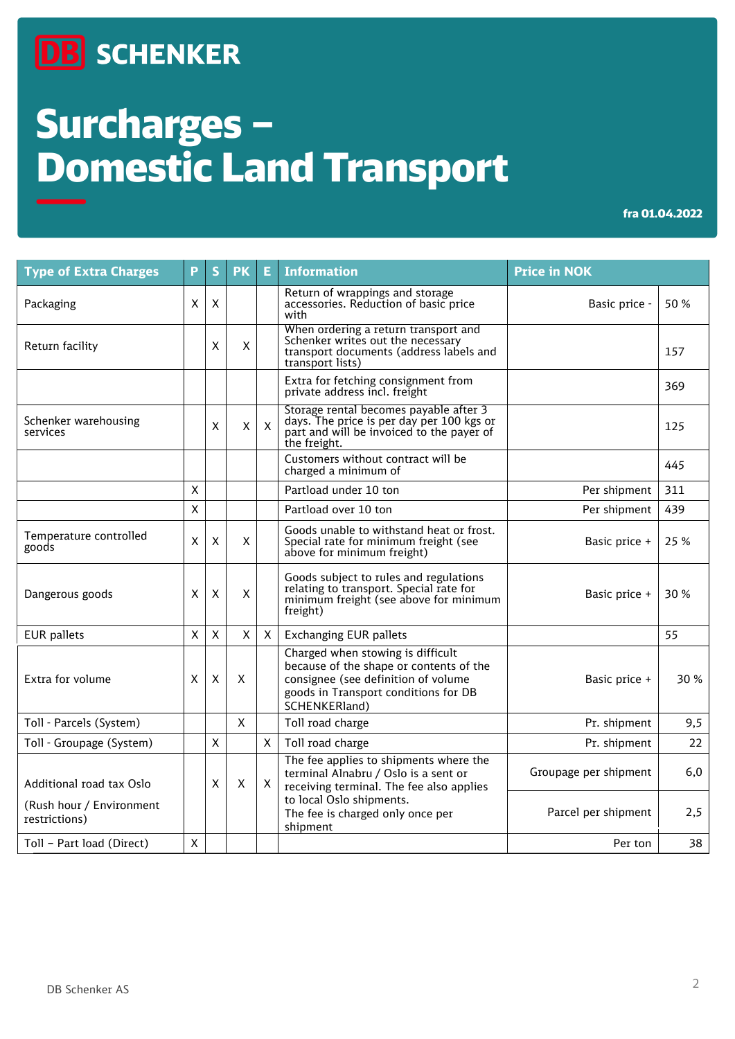### **DB** SCHENKER

# Surcharges – Domestic Land Transport

#### fra 01.04.2022

| <b>Type of Extra Charges</b>              | P | S       | <b>PK</b> | E.           | <b>Information</b>                                                                                                                                                           | <b>Price in NOK</b>   |      |
|-------------------------------------------|---|---------|-----------|--------------|------------------------------------------------------------------------------------------------------------------------------------------------------------------------------|-----------------------|------|
| Packaging                                 | X | X       |           |              | Return of wrappings and storage<br>accessories. Reduction of basic price<br>with                                                                                             | Basic price -         | 50 % |
| Return facility                           |   | X       | X         |              | When ordering a return transport and<br>Schenker writes out the necessary<br>transport documents (address labels and<br>transport lists)                                     |                       | 157  |
|                                           |   |         |           |              | Extra for fetching consignment from<br>private address incl. freight                                                                                                         |                       | 369  |
| Schenker warehousing<br>services          |   | X       | X         | $\mathsf{X}$ | Storage rental becomes payable after 3<br>days. The price is per day per 100 kgs or<br>part and will be invoiced to the payer of<br>the freight.                             |                       | 125  |
|                                           |   |         |           |              | Customers without contract will be<br>charged a minimum of                                                                                                                   |                       | 445  |
|                                           | X |         |           |              | Partload under 10 ton                                                                                                                                                        | Per shipment          | 311  |
|                                           | X |         |           |              | Partload over 10 ton                                                                                                                                                         | Per shipment          | 439  |
| Temperature controlled<br>goods           | X | $\sf X$ | X         |              | Goods unable to withstand heat or frost.<br>Special rate for minimum freight (see<br>above for minimum freight)                                                              | Basic price +         | 25 % |
| Dangerous goods                           | X | Χ       | X         |              | Goods subject to rules and regulations<br>relating to transport. Special rate for<br>minimum freight (see above for minimum<br>freight)                                      | Basic price +         | 30%  |
| <b>EUR</b> pallets                        | X | X       | X         | $\mathsf{X}$ | <b>Exchanging EUR pallets</b>                                                                                                                                                |                       | 55   |
| Extra for volume                          | X | X       | X         |              | Charged when stowing is difficult<br>because of the shape or contents of the<br>consignee (see definition of volume<br>goods in Transport conditions for DB<br>SCHENKERland) | Basic price +         | 30 % |
| Toll - Parcels (System)                   |   |         | X         |              | Toll road charge                                                                                                                                                             | Pr. shipment          | 9,5  |
| Toll - Groupage (System)                  |   | X       |           | X            | Toll road charge                                                                                                                                                             | Pr. shipment          | 22   |
| Additional road tax Oslo                  |   | X       | X         | X            | The fee applies to shipments where the<br>terminal Alnabru / Oslo is a sent or<br>receiving terminal. The fee also applies                                                   | Groupage per shipment | 6,0  |
| (Rush hour / Environment<br>restrictions) |   |         |           |              | to local Oslo shipments.<br>The fee is charged only once per<br>shipment                                                                                                     | Parcel per shipment   | 2,5  |
| Toll - Part load (Direct)                 | X |         |           |              |                                                                                                                                                                              | Per ton               | 38   |